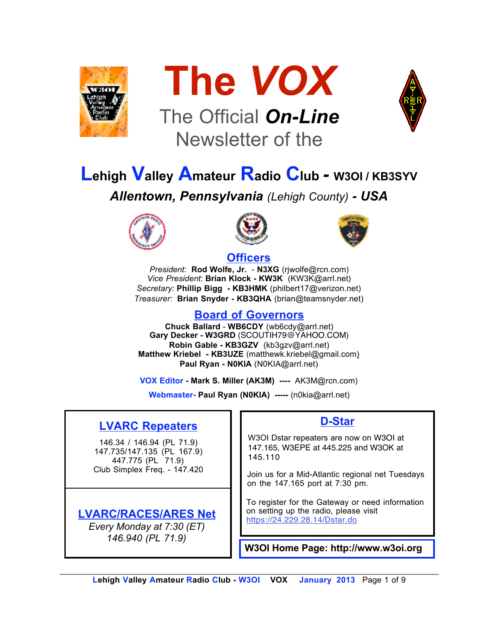



## The Official *On-Line* Newsletter of the



# **Lehigh Valley Amateur Radio Club** *-* **W3OI / KB3SYV**

*Allentown, Pennsylvania (Lehigh County) - USA*







### **Officers**

*President:* **Rod Wolfe, Jr.** - **N3XG** (rjwolfe@rcn.com) *Vice President:* **Brian Klock - KW3K** (KW3K@arrl.net) *Secretary:* **Phillip Bigg - KB3HMK** (philbert17@verizon.net) *Treasurer:* **Brian Snyder - KB3QHA** (brian@teamsnyder.net)

### **Board of Governors**

**Chuck Ballard** - **WB6CDY** (wb6cdy@arrl.net) **Gary Decker - W3GRD** (SCOUTIH79@YAHOO.COM) **Robin Gable - KB3GZV** (kb3gzv@arrl.net) **Matthew Kriebel - KB3UZE** (matthewk.kriebel@gmail.com) **Paul Ryan - N0KIA** (N0KIA@arrl.net)

**VOX Editor - Mark S. Miller (AK3M) ----** AK3M@rcn.com)

**Webmaster- Paul Ryan (N0KIA) -----** (n0kia@arrl.net)

### **LVARC Repeaters**

146.34 / 146.94 (PL 71.9) 147.735/147.135 (PL 167.9) 447.775 (PL 71.9) Club Simplex Freq. - 147.420

### **LVARC/RACES/ARES Net**

*Every Monday at 7:30 (ET) 146.940 (PL 71.9)*

### **D-Star**

W3OI Dstar repeaters are now on W3OI at 147.165, W3EPE at 445.225 and W3OK at 145.110

Join us for a Mid-Atlantic regional net Tuesdays on the 147.165 port at 7:30 pm.

To register for the Gateway or need information on setting up the radio, please visit https://24.229.28.14/Dstar.do

**W3OI Home Page: http://www.w3oi.org**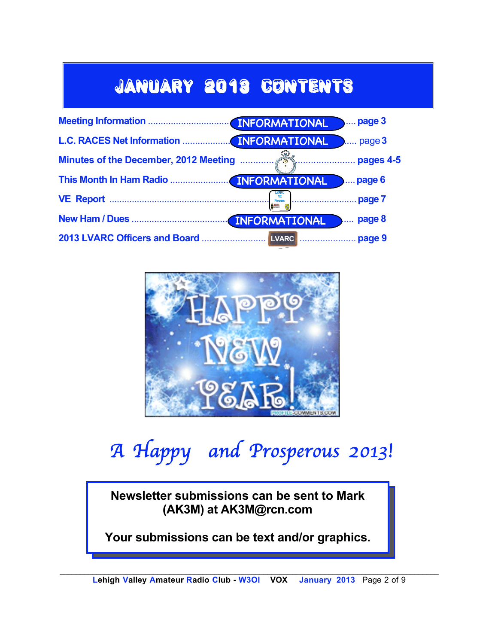## January 2013 Contents





## *A Happy and Prosperous 2013!*

**Newsletter submissions can be sent to Mark (AK3M) at AK3M@rcn.com**

**Your submissions can be text and/or graphics.**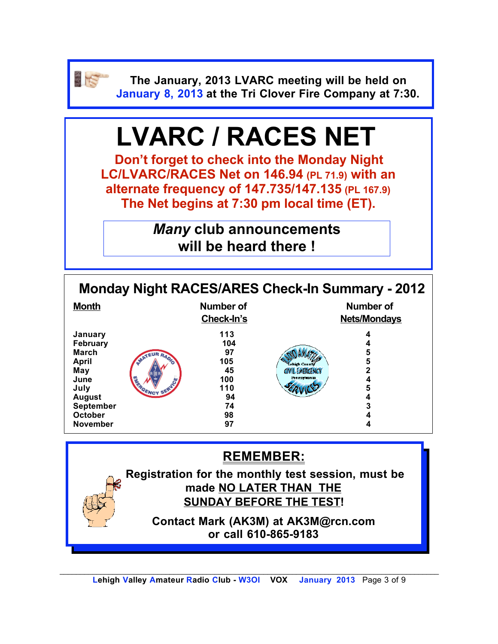

**The January, 2013 LVARC meeting will be held on January 8, 2013 at the Tri Clover Fire Company at 7:30.**

# **LVARC / RACES NET**

**Don't forget to check into the Monday Night LC/LVARC/RACES Net on 146.94 (PL 71.9) with an alternate frequency of 147.735/147.135 (PL 167.9) The Net begins at 7:30 pm local time (ET).** 

> *Many* **club announcements will be heard there !**

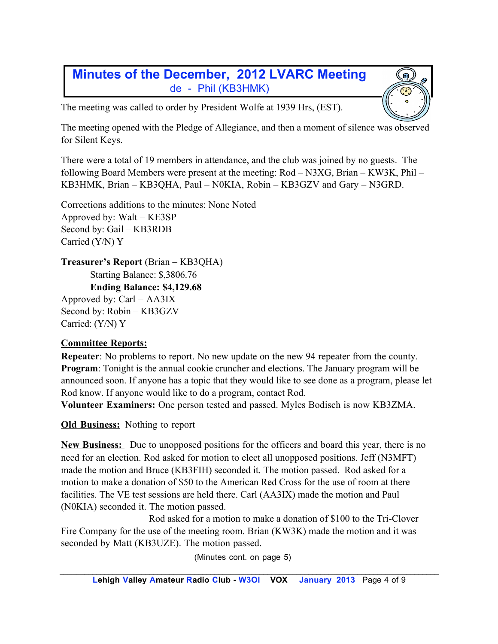### **Minutes of the December, 2012 LVARC Meeting** de - Phil (KB3HMK)

The meeting was called to order by President Wolfe at 1939 Hrs, (EST).

The meeting opened with the Pledge of Allegiance, and then a moment of silence was observed for Silent Keys.

There were a total of 19 members in attendance, and the club was joined by no guests. The following Board Members were present at the meeting: Rod – N3XG, Brian – KW3K, Phil – KB3HMK, Brian – KB3QHA, Paul – N0KIA, Robin – KB3GZV and Gary – N3GRD.

Corrections additions to the minutes: None Noted Approved by: Walt – KE3SP Second by: Gail – KB3RDB Carried (Y/N) Y

**Treasurer's Report** (Brian – KB3QHA)

Starting Balance: \$,3806.76

**Ending Balance: \$4,129.68**

Approved by: Carl – AA3IX Second by: Robin – KB3GZV Carried: (Y/N) Y

#### **Committee Reports:**

**Repeater**: No problems to report. No new update on the new 94 repeater from the county. **Program**: Tonight is the annual cookie cruncher and elections. The January program will be announced soon. If anyone has a topic that they would like to see done as a program, please let Rod know. If anyone would like to do a program, contact Rod.

**Volunteer Examiners:** One person tested and passed. Myles Bodisch is now KB3ZMA.

**Old Business:** Nothing to report

**New Business:** Due to unopposed positions for the officers and board this year, there is no need for an election. Rod asked for motion to elect all unopposed positions. Jeff (N3MFT) made the motion and Bruce (KB3FIH) seconded it. The motion passed. Rod asked for a motion to make a donation of \$50 to the American Red Cross for the use of room at there facilities. The VE test sessions are held there. Carl (AA3IX) made the motion and Paul (N0KIA) seconded it. The motion passed.

Rod asked for a motion to make a donation of \$100 to the Tri-Clover Fire Company for the use of the meeting room. Brian (KW3K) made the motion and it was seconded by Matt (KB3UZE). The motion passed.

(Minutes cont. on page 5)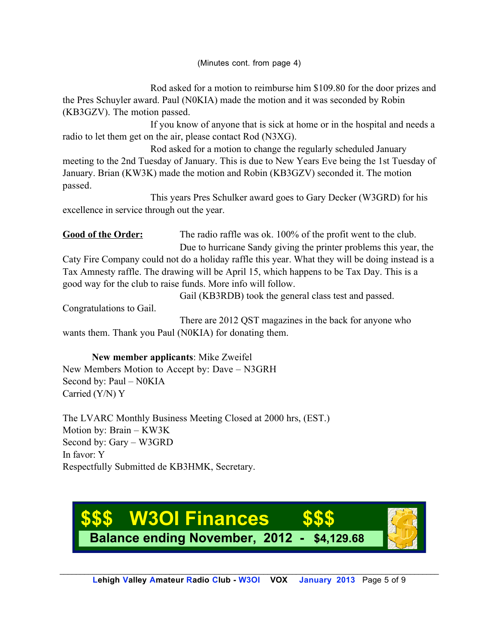(Minutes cont. from page 4)

Rod asked for a motion to reimburse him \$109.80 for the door prizes and the Pres Schuyler award. Paul (N0KIA) made the motion and it was seconded by Robin (KB3GZV). The motion passed.

If you know of anyone that is sick at home or in the hospital and needs a radio to let them get on the air, please contact Rod (N3XG).

Rod asked for a motion to change the regularly scheduled January meeting to the 2nd Tuesday of January. This is due to New Years Eve being the 1st Tuesday of January. Brian (KW3K) made the motion and Robin (KB3GZV) seconded it. The motion passed.

This years Pres Schulker award goes to Gary Decker (W3GRD) for his excellence in service through out the year.

Good of the Order: The radio raffle was ok. 100% of the profit went to the club. Due to hurricane Sandy giving the printer problems this year, the

Caty Fire Company could not do a holiday raffle this year. What they will be doing instead is a Tax Amnesty raffle. The drawing will be April 15, which happens to be Tax Day. This is a good way for the club to raise funds. More info will follow.

Gail (KB3RDB) took the general class test and passed.

Congratulations to Gail.

There are 2012 QST magazines in the back for anyone who wants them. Thank you Paul (N0KIA) for donating them.

**New member applicants**: Mike Zweifel New Members Motion to Accept by: Dave – N3GRH Second by: Paul – N0KIA Carried (Y/N) Y

The LVARC Monthly Business Meeting Closed at 2000 hrs, (EST.) Motion by: Brain – KW3K Second by: Gary – W3GRD In favor: Y Respectfully Submitted de KB3HMK, Secretary.

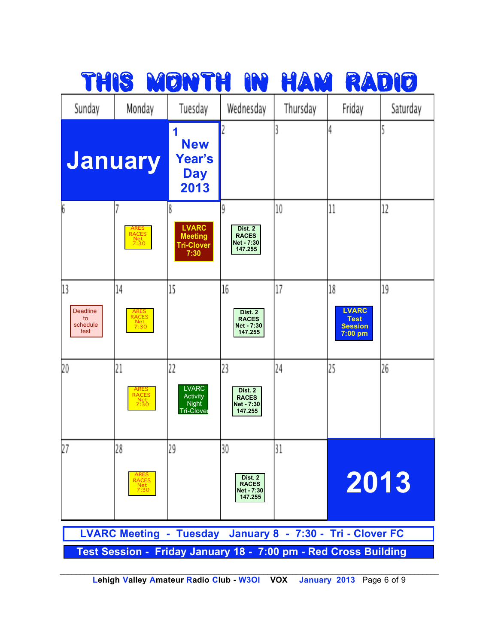

**Lehigh Valley Amateur Radio Club - W3OI VOX January 2013** Page 6 of 9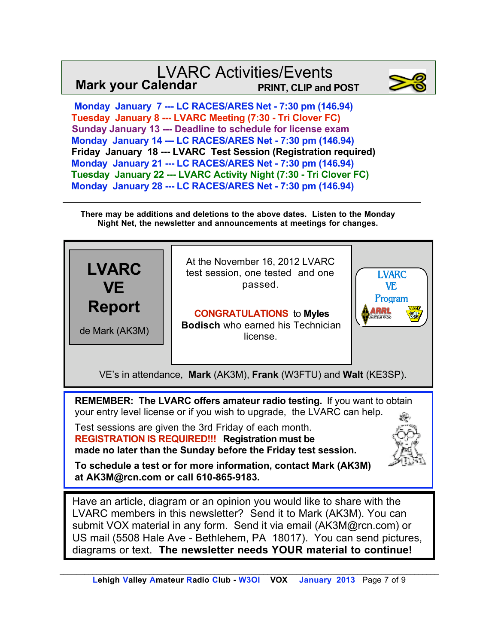### LVARC Activities/Events **Mark your Calendar PRINT, CLIP and POST**



 **Monday January 7 --- LC RACES/ARES Net - 7:30 pm (146.94) Tuesday January 8 --- LVARC Meeting (7:30 - Tri Clover FC) Sunday January 13 --- Deadline to schedule for license exam Monday January 14 --- LC RACES/ARES Net - 7:30 pm (146.94) Friday January 18 --- LVARC Test Session (Registration required) Monday January 21 --- LC RACES/ARES Net - 7:30 pm (146.94) Tuesday January 22 --- LVARC Activity Night (7:30 - Tri Clover FC) Monday January 28 --- LC RACES/ARES Net - 7:30 pm (146.94)**

**There may be additions and deletions to the above dates. Listen to the Monday Night Net, the newsletter and announcements at meetings for changes.**



US mail (5508 Hale Ave - Bethlehem, PA 18017). You can send pictures, diagrams or text. **The newsletter needs YOUR material to continue!**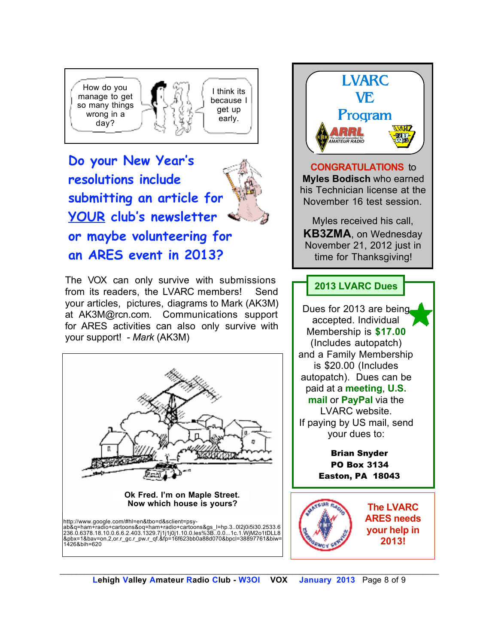

**Do your New Year's resolutions include submitting an article for YOUR club's newsletter or maybe volunteering for an ARES event in 2013?** 

The VOX can only survive with submissions from its readers, the LVARC members! Send your articles, pictures, diagrams to Mark (AK3M) at AK3M@rcn.com. Communications support for ARES activities can also only survive with your support! - *Mark* (AK3M)